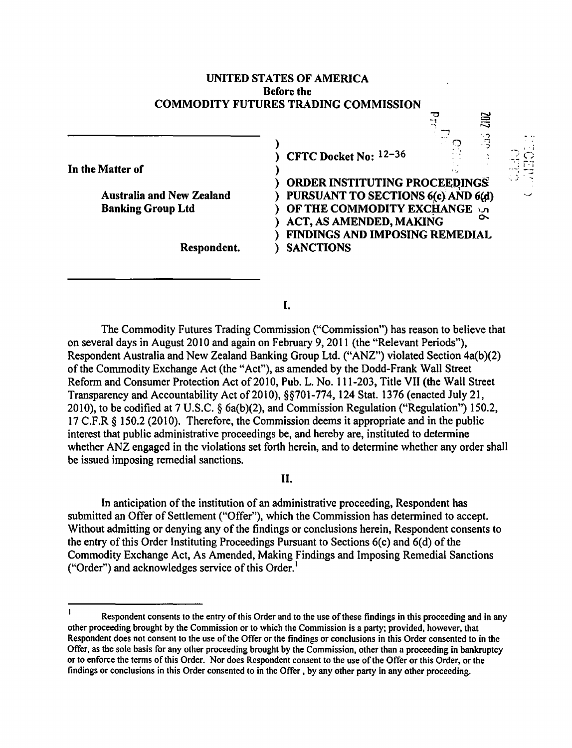# UNITED STATES OF AMERICA Before the COMMODITY FUTURES TRADING COMMISSION

In the Matter of

Banking Group Ltd

) ) CFTC Docket No: 12-36

) ) ORDER INSTITUTING PROCEEDINGS<br>Australia and New Zealand (i) PURSUANT TO SECTIONS 6(c) AND 6(d) ) OF THE COMMODITY EXCHANGE  $\cup$ ) ACT, AS AMENDED, MAKING ) FINDINGS AND IMPOSING REMEDIAL Respondent. ) SANCTIONS

 $\mathbb C$ 

**SHERED SEP** 

I.

The Commodity Futures Trading Commission ("Commission") has reason to believe that on several days in August 2010 and again on February 9, 2011 (the "Relevant Periods"), Respondent Australia and New Zealand Banking Group Ltd. ("ANZ") violated Section 4a(b)(2) of the Commodity Exchange Act (the "Act"), as amended by the Dodd-Frank Wall Street Reform and Consumer Protection Act of 2010, Pub. L. No. 111-203, Title VII (the Wall Street Transparency and Accountability Act of 2010), §§701-774, 124 Stat. 1376 (enacted July 21, 2010), to be codified at 7 U.S.C. § 6a(b)(2), and Commission Regulation ("Regulation") 150.2, 17 C.F.R  $\S$  150.2 (2010). Therefore, the Commission deems it appropriate and in the public interest that public administrative proceedings be, and hereby are, instituted to determine whether ANZ engaged in the violations set forth herein, and to determine whether any order shall be issued imposing remedial sanctions.

# II.

In anticipation of the institution of an administrative proceeding, Respondent has submitted an Offer of Settlement ("Offer"), which the Commission has determined to accept. Without admitting or denying any of the findings or conclusions herein, Respondent consents to the entry of this Order Instituting Proceedings Pursuant to Sections 6(c) and 6(d) of the Commodity Exchange Act, As Amended, Making Findings and Imposing Remedial Sanctions ("Order") and acknowledges service of this Order. $<sup>1</sup>$ </sup>

 $\mathbf{1}$ Respondent consents to the entry of this Order and to the use of these findings in this proceeding and in any other proceeding brought by the Commission or to which the Commission is a party; provided, however, that Respondent does not consent to the use of the Offer or the findings or conclusions in this Order consented to in the Offer, as the sole basis for any other proceeding brought by the Commission, other than a proceeding in bankruptcy or to enforce the terms of this Order. Nor does Respondent consent to the use of the Offer or this Order, or the findings or conclusions in this Order consented to in the Offer , by any other party in any other proceeding.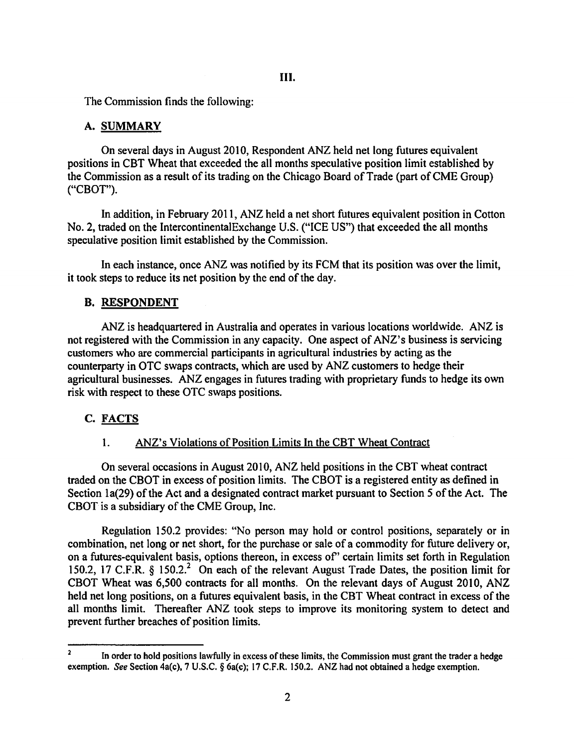The Commission finds the following:

### A. SUMMARY

On several days in August 2010, Respondent ANZ held net long futures equivalent positions in CBT Wheat that exceeded the all months speculative position limit established by the Commission as a result of its trading on the Chicago Board of Trade (part of CME Group) ("CBOT").

In addition, in February 2011, ANZ held a net short futures equivalent position in Cotton No.2, traded on the IntercontinentalExchange U.S. ("ICE US") that exceeded the all months speculative position limit established by the Commission.

In each instance, once ANZ was notified by its FCM that its position was over the limit, it took steps to reduce its net position by the end of the day.

### B. RESPONDENT

ANZ is headquartered in Australia and operates in various locations worldwide. ANZ is not registered with the Commission in any capacity. One aspect of ANZ's business is servicing customers who are commercial participants in agricultural industries by acting as the counterparty in OTC swaps contracts, which are used by ANZ customers to hedge their agricultural businesses. ANZ engages in futures trading with proprietary funds to hedge its own risk with respect to these OTC swaps positions.

# C. FACTS

### 1. ANZ's Violations of Position Limits In the CBT Wheat Contract

On several occasions in August 2010, ANZ held positions in the CBT wheat contract traded on the CBOT in excess of position limits. The CBOT is a registered entity as defined in Section la(29) of the Act and a designated contract market pursuant to Section *5* of the Act. The CBOT is a subsidiary of the CME Group, Inc.

Regulation 150.2 provides: "No person may hold or control positions, separately or in combination, net long or net short, for the purchase or sale of a commodity for future delivery or, on a futures-equivalent basis, options thereon, in excess of' certain limits set forth in Regulation 150.2, 17 C.F.R. § 150.2.<sup>2</sup> On each of the relevant August Trade Dates, the position limit for CBOT Wheat was 6,500 contracts for all months. On the relevant days of August 2010, ANZ held net long positions, on a futures equivalent basis, in the CBT Wheat contract in excess of the all months limit. Thereafter ANZ took steps to improve its monitoring system to detect and prevent further breaches of position limits.

In order to hold positions lawfully in excess of these limits, the Commission must grant the trader a hedge exemption. *See* Section 4a(c), 7 U.S.C. § 6a(c); 17 C.F.R. 150.2. ANZ had not obtained a hedge exemption.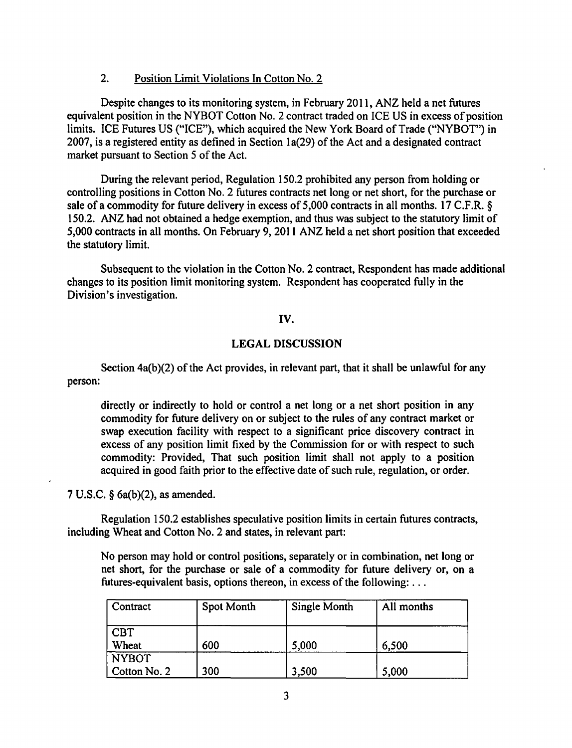# 2. Position Limit Violations In Cotton No. 2

Despite changes to its monitoring system, in February 2011, ANZ held a net futures equivalent position in the NYBOT Cotton No.2 contract traded on ICE US in excess of position limits. ICE Futures US ("ICE"), which acquired the New York Board of Trade ("NYBOT") in 2007, is a registered entity as defined in Section 1a(29) of the Act and a designated contract market pursuant to Section 5 of the Act.

During the relevant period, Regulation 150.2 prohibited any person from holding or controlling positions in Cotton No. 2 futures contracts net long or net short, for the purchase or sale of a commodity for future delivery in excess of 5,000 contracts in all months. 17 C.F.R. § 150.2. ANZ had not obtained a hedge exemption, and thus was subject to the statutory limit of 5,000 contracts in all months. On February 9, 2011 ANZ held a net short position that exceeded the statutory limit.

Subsequent to the violation in the Cotton No. 2 contract, Respondent has made additional changes to its position limit monitoring system. Respondent has cooperated fully in the Division's investigation.

# IV.

# LEGAL DISCUSSION

person: Section 4a(b)(2) of the Act provides, in relevant part, that it shall be unlawful for any

directly or indirectly to hold or control a net long or a net short position in any commodity for future delivery on or subject to the rules of any contract market or swap execution facility with respect to a significant price discovery contract in excess of any position limit fixed by the Commission for or with respect to such commodity: Provided, That such position limit shall not apply to a position acquired in good faith prior to the effective date of such rule, regulation, or order.

7 U.S.C. § 6a(b)(2), as amended.

Regulation 150.2 establishes speculative position limits in certain futures contracts, including Wheat and Cotton No. 2 and states, in relevant part:

No person may hold or control positions, separately or in combination, net long or net short, for the purchase or sale of a commodity for future delivery or, on a futures-equivalent basis, options thereon, in excess of the following: ...

| Contract     | Spot Month | <b>Single Month</b> | All months |
|--------------|------------|---------------------|------------|
| <b>CBT</b>   |            |                     |            |
| Wheat        | 600        | 5,000               | 6,500      |
| <b>NYBOT</b> |            |                     |            |
| Cotton No. 2 | 300        | 3,500               | 5,000      |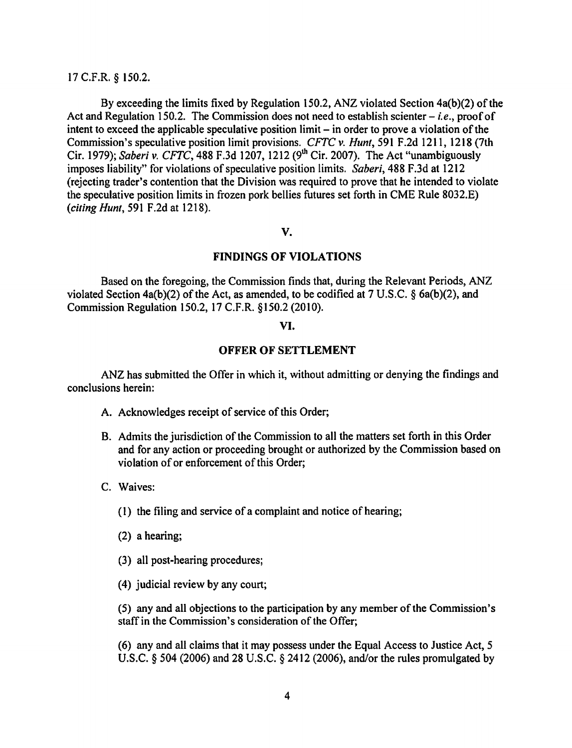### 17 C.F.R. § 150.2.

By exceeding the limits fixed by Regulation 150.2, ANZ violated Section 4a(b)(2) of the Act and Regulation 150.2. The Commission does not need to establish scienter – *i.e.*, proof of intent to exceed the applicable speculative position limit- in order to prove a violation of the Commission's speculative position limit provisions. *CFTC v. Hunt,* 591 F.2d 1211, 1218 (7th Cir. 1979); *Saberi v. CFTC*, 488 F.3d 1207, 1212 (9<sup>th</sup> Cir. 2007). The Act "unambiguously imposes liability'' for violations of speculative position limits. *Saberi,* 488 F.3d at 1212 (rejecting trader's contention that the Division was required to prove that he intended to violate the speculative position limits in frozen pork bellies futures set forth in CME Rule 8032.E) *(citing Hunt,* 591 F.2d at 1218).

### v.

#### FINDINGS OF VIOLATIONS

Based on the foregoing, the Commission finds that, during the Relevant Periods, ANZ violated Section 4a(b)(2) of the Act, as amended, to be codified at 7 U.S.C. § 6a(b)(2), and Commission Regulation 150.2, 17 C.F.R. § 150.2 (2010).

# VI.

#### OFFER OF SETTLEMENT

ANZ has submitted the Offer in which it, without admitting or denying the findings and conclusions herein:

- A. Acknowledges receipt of service of this Order;
- B. Admits the jurisdiction of the Commission to all the matters set forth in this Order and for any action or proceeding brought or authorized by the Commission based on violation of or enforcement of this Order;
- C. Waives:
	- (I) the filing and service of a complaint and notice of hearing;
	- (2) a hearing;
	- (3) all post-hearing procedures;
	- (4) judicial review by any court;

(5) any and all objections to the participation by any member of the Commission's staff in the Commission's consideration of the Offer;

(6) any and all claims that it may possess under the Equal Access to Justice Act, 5 U.S.C. § 504 (2006) and 28 U.S.C. § 2412 (2006), and/or the rules promulgated by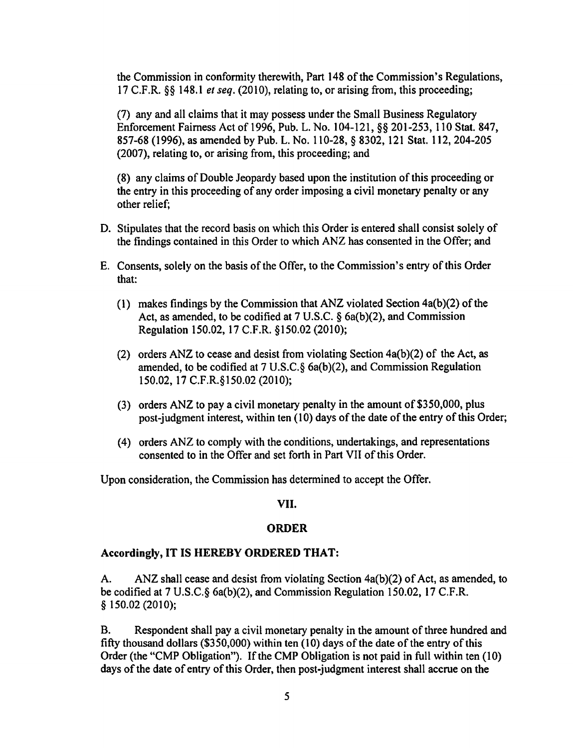the Commission in conformity therewith, Part 148 of the Commission's Regulations, 17 C.F.R. §§ 148.1 *et seq.* (2010), relating to, or arising from, this proceeding;

(7) any and all claims that it may possess under the Small Business Regulatory Enforcement Fairness Act of 1996, Pub. L. No. 104-121, §§ 201-253, 110 Stat. 847, 857-68 (1996), as amended by Pub. L. No. 110-28, § 8302, 121 Stat. 112, 204-205 (2007), relating to, or arising from, this proceeding; and

(8) any claims of Double Jeopardy based upon the institution of this proceeding or the entry in this proceeding of any order imposing a civil monetary penalty or any other relief;

- D. Stipulates that the record basis on which this Order is entered shall consist solely of the findings contained in this Order to which ANZ has consented in the Offer; and
- E. Consents, solely on the basis of the Offer, to the Commission's entry of this Order that:
	- (1) makes findings by the Commission that ANZ violated Section 4a(b)(2) of the Act, as amended, to be codified at 7 U.S.C. § 6a(b)(2), and Commission Regulation 150.02, 17 C.F.R. §150.02 (2010);
	- (2) orders ANZ to cease and desist from violating Section  $4a(b)(2)$  of the Act, as amended, to be codified at 7 U.S.C.§ 6a(b)(2), and Commission Regulation 150.02, 17 C.F.R. § 150.02 (2010);
	- (3) orders ANZ to pay a civil monetary penalty in the amount of  $$350,000$ , plus post-judgment interest, within ten (10) days of the date of the entry of this Order;
	- (4) orders ANZ to comply with the conditions, undertakings, and representations consented to in the Offer and set forth in Part VII of this Order.

Upon consideration, the Commission has determined to accept the Offer.

#### VII.

# ORDER

#### Accordingly, IT IS HEREBY ORDERED THAT:

A. ANZ shall cease and desist from violating Section 4a(b)(2) of Act, as amended, to be codified at 7 U.S.C.§ 6a(b)(2), and Commission Regulation 150.02, 17 C.F.R.  $§ 150.02(2010);$ 

B. Respondent shall pay a civil monetary penalty in the amount of three hundred and fifty thousand dollars (\$350,000) within ten (10) days of the date of the entry of this Order (the "CMP Obligation"). If the CMP Obligation is not paid in full within ten (10) days of the date of entry of this Order, then post-judgment interest shall accrue on the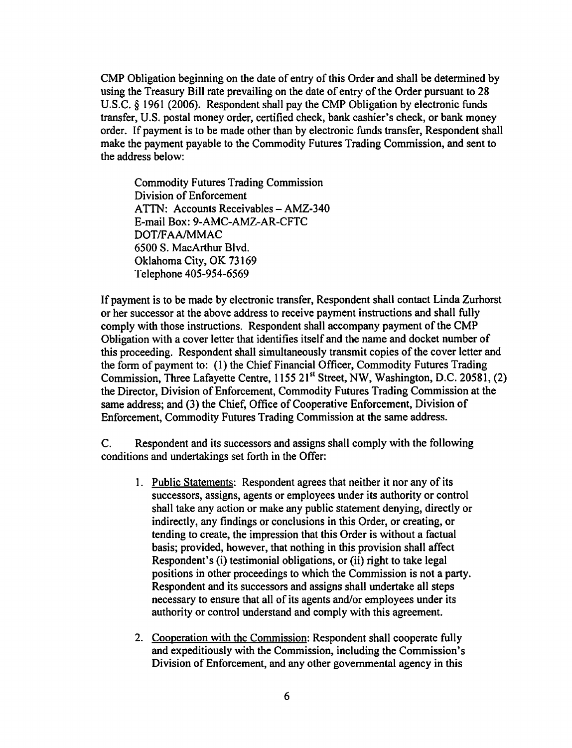CMP Obligation beginning on the date of entry of this Order and shall be determined by using the Treasury Bill rate prevailing on the date of entry of the Order pursuant to 28 U.S.C. *§* 1961 (2006). Respondent shall pay the CMP Obligation by electronic funds transfer, U.S. postal money order, certified check, bank cashier's check, or bank money order. If payment is to be made other than by electronic funds transfer, Respondent shall make the payment payable to the Commodity Futures Trading Commission, and sent to the address below:

Commodity Futures Trading Commission Division of Enforcement ATTN: Accounts Receivables- AMZ-340 E-mail Box: 9-AMC-AMZ-AR-CFTC DOT/FAA/MMAC 6500 S. MacArthur Blvd. Oklahoma City, OK 73169 Telephone 405-954-6569

If payment is to be made by electronic transfer, Respondent shall contact Linda Zurhorst or her successor at the above address to receive payment instructions and shall fully comply with those instructions. Respondent shall accompany payment of the CMP Obligation with a cover letter that identifies itself and the name and docket number of this proceeding. Respondent shall simultaneously transmit copies of the cover letter and the form of payment to: (1) the Chief Financial Officer, Commodity Futures Trading Commission, Three Lafayette Centre, 1155 21<sup>st</sup> Street, NW, Washington, D.C. 20581, (2) the Director, Division of Enforcement, Commodity Futures Trading Commission at the same address; and (3) the Chief, Office of Cooperative Enforcement, Division of Enforcement, Commodity Futures Trading Commission at the same address.

C. Respondent and its successors and assigns shall comply with the following conditions and undertakings set forth in the Offer:

- 1. Public Statements: Respondent agrees that neither it nor any of its successors, assigns, agents or employees under its authority or control shall take any action or make any public statement denying, directly or indirectly, any findings or conclusions in this Order, or creating, or tending to create, the impression that this Order is without a factual basis; provided, however, that nothing in this provision shall affect Respondent's (i) testimonial obligations, or (ii) right to take legal positions in other proceedings to which the Commission is not a party. Respondent and its successors and assigns shall undertake all steps necessary to ensure that all of its agents and/or employees under its authority or control understand and comply with this agreement.
- 2. Cooperation with the Commission: Respondent shall cooperate fully and expeditiously with the Commission, including the Commission's Division of Enforcement, and any other governmental agency in this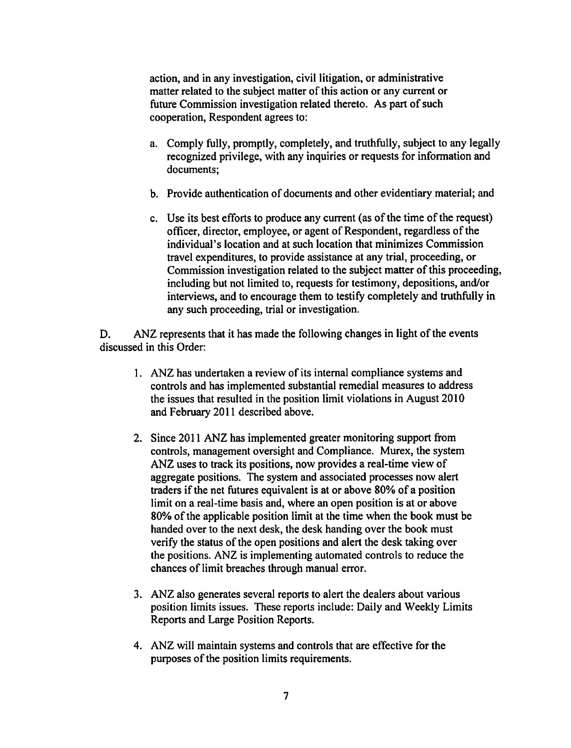action, and in any investigation, civil litigation, or administrative matter related to the subject matter of this action or any current or future Commission investigation related thereto. As part of such cooperation, Respondent agrees to:

- a. Comply fully, promptly, completely, and truthfully, subject to any legally recognized privilege, with any inquiries or requests for information and documents;
- b. Provide authentication of documents and other evidentiary material; and
- c. Use its best efforts to produce any current (as of the time of the request) officer, director, employee, or agent of Respondent, regardless of the individual's location and at such location that minimizes Commission travel expenditures, to provide assistance at any trial, proceeding, or Commission investigation related to the subject matter of this proceeding, including but not limited to, requests for testimony, depositions, and/or interviews, and to encourage them to testify completely and truthfully in any such proceeding, trial or investigation.

D. ANZ represents that it has made the following changes in light of the events discussed in this Order:

- I. ANZ has undertaken a review of its internal compliance systems and controls and has implemented substantial remedial measures to address the issues that resulted in the position limit violations in August 2010 and February 2011 described above.
- 2. Since 2011 ANZ has implemented greater monitoring support from controls, management oversight and Compliance. Murex, the system ANZ uses to track its positions, now provides a real-time view of aggregate positions. The system and associated processes now alert traders if the net futures equivalent is at or above 80% of a position limit on a real-time basis and, where an open position is at or above 80% of the applicable position limit at the time when the book must be handed over to the next desk, the desk handing over the book must verify the status of the open positions and alert the desk taking over the positions. ANZ is implementing automated controls to reduce the chances of limit breaches through manual error.
- 3. ANZ also generates several reports to alert the dealers about various position limits issues. These reports include: Daily and Weekly Limits Reports and Large Position Reports.
- 4. ANZ will maintain systems and controls that are effective for the purposes of the position limits requirements.